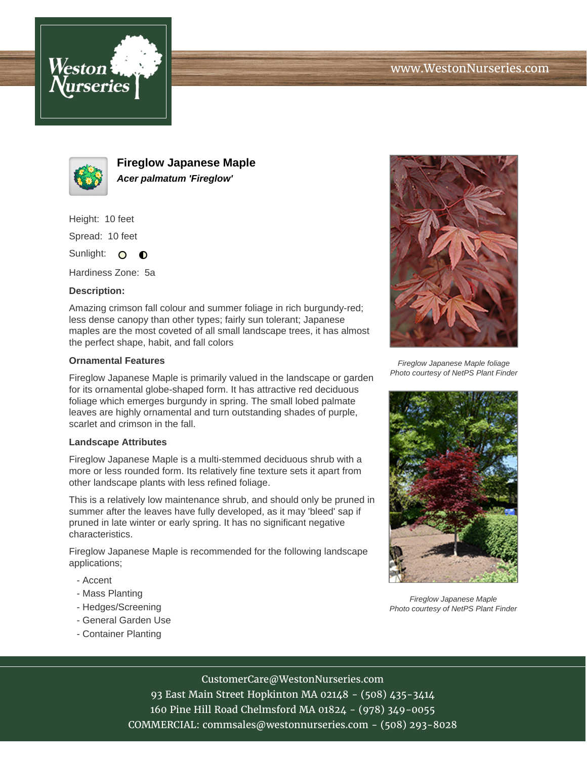



**Fireglow Japanese Maple Acer palmatum 'Fireglow'**

Height: 10 feet

Spread: 10 feet

Sunlight: O  $\bullet$ 

Hardiness Zone: 5a

## **Description:**

Amazing crimson fall colour and summer foliage in rich burgundy-red; less dense canopy than other types; fairly sun tolerant; Japanese maples are the most coveted of all small landscape trees, it has almost the perfect shape, habit, and fall colors

## **Ornamental Features**

Fireglow Japanese Maple is primarily valued in the landscape or garden for its ornamental globe-shaped form. It has attractive red deciduous foliage which emerges burgundy in spring. The small lobed palmate leaves are highly ornamental and turn outstanding shades of purple, scarlet and crimson in the fall.

#### **Landscape Attributes**

Fireglow Japanese Maple is a multi-stemmed deciduous shrub with a more or less rounded form. Its relatively fine texture sets it apart from other landscape plants with less refined foliage.

This is a relatively low maintenance shrub, and should only be pruned in summer after the leaves have fully developed, as it may 'bleed' sap if pruned in late winter or early spring. It has no significant negative characteristics.

Fireglow Japanese Maple is recommended for the following landscape applications;

- Accent
- Mass Planting
- Hedges/Screening
- General Garden Use
- Container Planting



Fireglow Japanese Maple foliage Photo courtesy of NetPS Plant Finder



Fireglow Japanese Maple Photo courtesy of NetPS Plant Finder

# CustomerCare@WestonNurseries.com

93 East Main Street Hopkinton MA 02148 - (508) 435-3414 160 Pine Hill Road Chelmsford MA 01824 - (978) 349-0055 COMMERCIAL: commsales@westonnurseries.com - (508) 293-8028